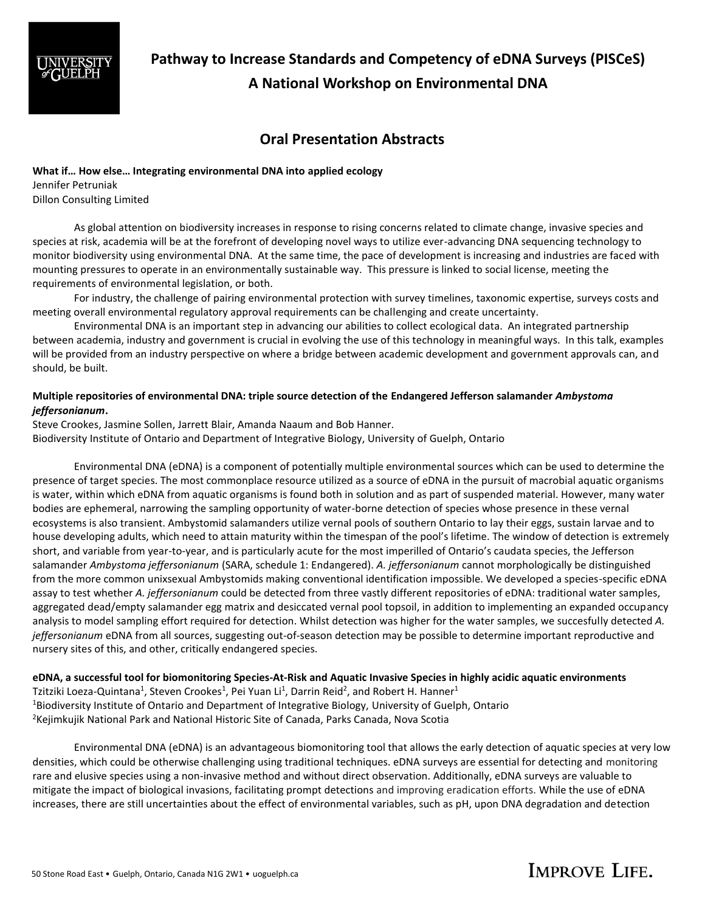

# **Oral Presentation Abstracts**

### **What if… How else… Integrating environmental DNA into applied ecology** Jennifer Petruniak Dillon Consulting Limited

As global attention on biodiversity increases in response to rising concerns related to climate change, invasive species and species at risk, academia will be at the forefront of developing novel ways to utilize ever-advancing DNA sequencing technology to monitor biodiversity using environmental DNA. At the same time, the pace of development is increasing and industries are faced with mounting pressures to operate in an environmentally sustainable way. This pressure is linked to social license, meeting the requirements of environmental legislation, or both.

For industry, the challenge of pairing environmental protection with survey timelines, taxonomic expertise, surveys costs and meeting overall environmental regulatory approval requirements can be challenging and create uncertainty.

Environmental DNA is an important step in advancing our abilities to collect ecological data. An integrated partnership between academia, industry and government is crucial in evolving the use of this technology in meaningful ways. In this talk, examples will be provided from an industry perspective on where a bridge between academic development and government approvals can, and should, be built.

### **Multiple repositories of environmental DNA: triple source detection of the Endangered Jefferson salamander** *Ambystoma jeffersonianum***.**

Steve Crookes, Jasmine Sollen, Jarrett Blair, Amanda Naaum and Bob Hanner. Biodiversity Institute of Ontario and Department of Integrative Biology, University of Guelph, Ontario

Environmental DNA (eDNA) is a component of potentially multiple environmental sources which can be used to determine the presence of target species. The most commonplace resource utilized as a source of eDNA in the pursuit of macrobial aquatic organisms is water, within which eDNA from aquatic organisms is found both in solution and as part of suspended material. However, many water bodies are ephemeral, narrowing the sampling opportunity of water-borne detection of species whose presence in these vernal ecosystems is also transient. Ambystomid salamanders utilize vernal pools of southern Ontario to lay their eggs, sustain larvae and to house developing adults, which need to attain maturity within the timespan of the pool's lifetime. The window of detection is extremely short, and variable from year-to-year, and is particularly acute for the most imperilled of Ontario's caudata species, the Jefferson salamander *Ambystoma jeffersonianum* (SARA, schedule 1: Endangered). *A. jeffersonianum* cannot morphologically be distinguished from the more common unixsexual Ambystomids making conventional identification impossible. We developed a species-specific eDNA assay to test whether *A. jeffersonianum* could be detected from three vastly different repositories of eDNA: traditional water samples, aggregated dead/empty salamander egg matrix and desiccated vernal pool topsoil, in addition to implementing an expanded occupancy analysis to model sampling effort required for detection. Whilst detection was higher for the water samples, we succesfully detected *A. jeffersonianum* eDNA from all sources, suggesting out-of-season detection may be possible to determine important reproductive and nursery sites of this, and other, critically endangered species.

### **eDNA, a successful tool for biomonitoring Species-At-Risk and Aquatic Invasive Species in highly acidic aquatic environments**

Tzitziki Loeza-Quintana<sup>1</sup>, Steven Crookes<sup>1</sup>, Pei Yuan Li<sup>1</sup>, Darrin Reid<sup>2</sup>, and Robert H. Hanner<sup>1</sup> <sup>1</sup>Biodiversity Institute of Ontario and Department of Integrative Biology, University of Guelph, Ontario <sup>2</sup>Kejimkujik National Park and National Historic Site of Canada, Parks Canada, Nova Scotia

Environmental DNA (eDNA) is an advantageous biomonitoring tool that allows the early detection of aquatic species at very low densities, which could be otherwise challenging using traditional techniques. eDNA surveys are essential for detecting and monitoring rare and elusive species using a non-invasive method and without direct observation. Additionally, eDNA surveys are valuable to mitigate the impact of biological invasions, facilitating prompt detections and improving eradication efforts. While the use of eDNA increases, there are still uncertainties about the effect of environmental variables, such as pH, upon DNA degradation and detection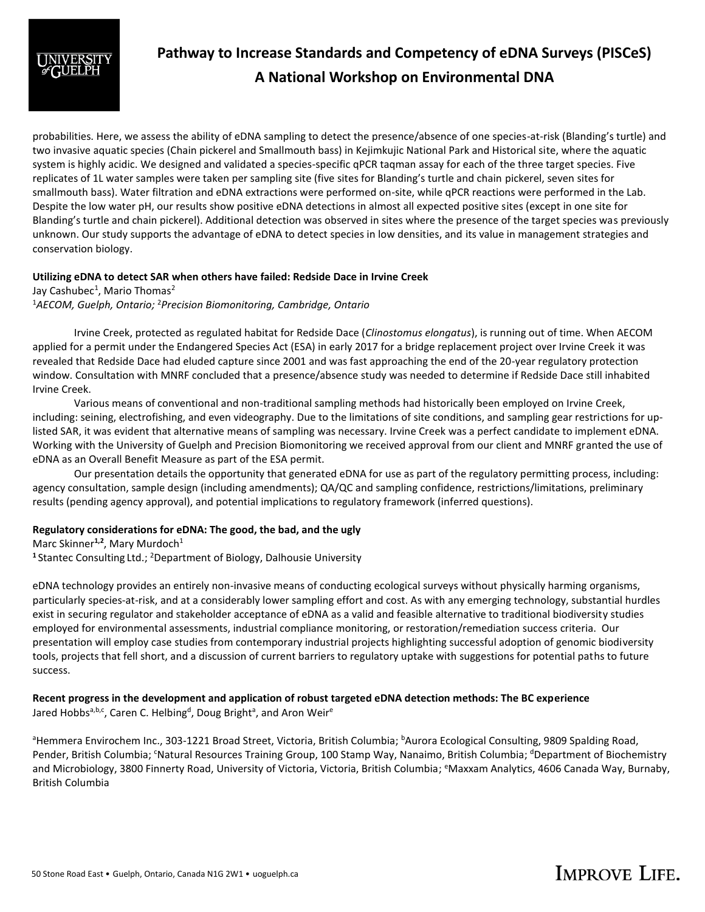

probabilities. Here, we assess the ability of eDNA sampling to detect the presence/absence of one species-at-risk (Blanding's turtle) and two invasive aquatic species (Chain pickerel and Smallmouth bass) in Kejimkujic National Park and Historical site, where the aquatic system is highly acidic. We designed and validated a species-specific qPCR taqman assay for each of the three target species. Five replicates of 1L water samples were taken per sampling site (five sites for Blanding's turtle and chain pickerel, seven sites for smallmouth bass). Water filtration and eDNA extractions were performed on-site, while qPCR reactions were performed in the Lab. Despite the low water pH, our results show positive eDNA detections in almost all expected positive sites (except in one site for Blanding's turtle and chain pickerel). Additional detection was observed in sites where the presence of the target species was previously unknown. Our study supports the advantage of eDNA to detect species in low densities, and its value in management strategies and conservation biology.

#### **Utilizing eDNA to detect SAR when others have failed: Redside Dace in Irvine Creek**

Jay Cashubec<sup>1</sup>, Mario Thomas<sup>2</sup>

<sup>1</sup>*AECOM, Guelph, Ontario;* <sup>2</sup>*Precision Biomonitoring, Cambridge, Ontario*

Irvine Creek, protected as regulated habitat for Redside Dace (*Clinostomus elongatus*), is running out of time. When AECOM applied for a permit under the Endangered Species Act (ESA) in early 2017 for a bridge replacement project over Irvine Creek it was revealed that Redside Dace had eluded capture since 2001 and was fast approaching the end of the 20-year regulatory protection window. Consultation with MNRF concluded that a presence/absence study was needed to determine if Redside Dace still inhabited Irvine Creek.

Various means of conventional and non-traditional sampling methods had historically been employed on Irvine Creek, including: seining, electrofishing, and even videography. Due to the limitations of site conditions, and sampling gear restrictions for uplisted SAR, it was evident that alternative means of sampling was necessary. Irvine Creek was a perfect candidate to implement eDNA. Working with the University of Guelph and Precision Biomonitoring we received approval from our client and MNRF granted the use of eDNA as an Overall Benefit Measure as part of the ESA permit.

Our presentation details the opportunity that generated eDNA for use as part of the regulatory permitting process, including: agency consultation, sample design (including amendments); QA/QC and sampling confidence, restrictions/limitations, preliminary results (pending agency approval), and potential implications to regulatory framework (inferred questions).

### **Regulatory considerations for eDNA: The good, the bad, and the ugly**

Marc Skinner<sup>1,2</sup>, Mary Murdoch<sup>1</sup> <sup>1</sup> Stantec Consulting Ltd.; <sup>2</sup>Department of Biology, Dalhousie University

eDNA technology provides an entirely non-invasive means of conducting ecological surveys without physically harming organisms, particularly species-at-risk, and at a considerably lower sampling effort and cost. As with any emerging technology, substantial hurdles exist in securing regulator and stakeholder acceptance of eDNA as a valid and feasible alternative to traditional biodiversity studies employed for environmental assessments, industrial compliance monitoring, or restoration/remediation success criteria. Our presentation will employ case studies from contemporary industrial projects highlighting successful adoption of genomic biodiversity tools, projects that fell short, and a discussion of current barriers to regulatory uptake with suggestions for potential paths to future success.

### **Recent progress in the development and application of robust targeted eDNA detection methods: The BC experience** Jared Hobbs<sup>a,b,c</sup>, Caren C. Helbing<sup>d</sup>, Doug Bright<sup>a</sup>, and Aron Weir<sup>e</sup>

<sup>a</sup>Hemmera Envirochem Inc., 303-1221 Broad Street, Victoria, British Columbia; <sup>b</sup>Aurora Ecological Consulting, 9809 Spalding Road, Pender, British Columbia; <sup>c</sup>Natural Resources Training Group, 100 Stamp Way, Nanaimo, British Columbia; <sup>d</sup>Department of Biochemistry and Microbiology, 3800 Finnerty Road, University of Victoria, Victoria, British Columbia; <sup>e</sup>Maxxam Analytics, 4606 Canada Way, Burnaby, British Columbia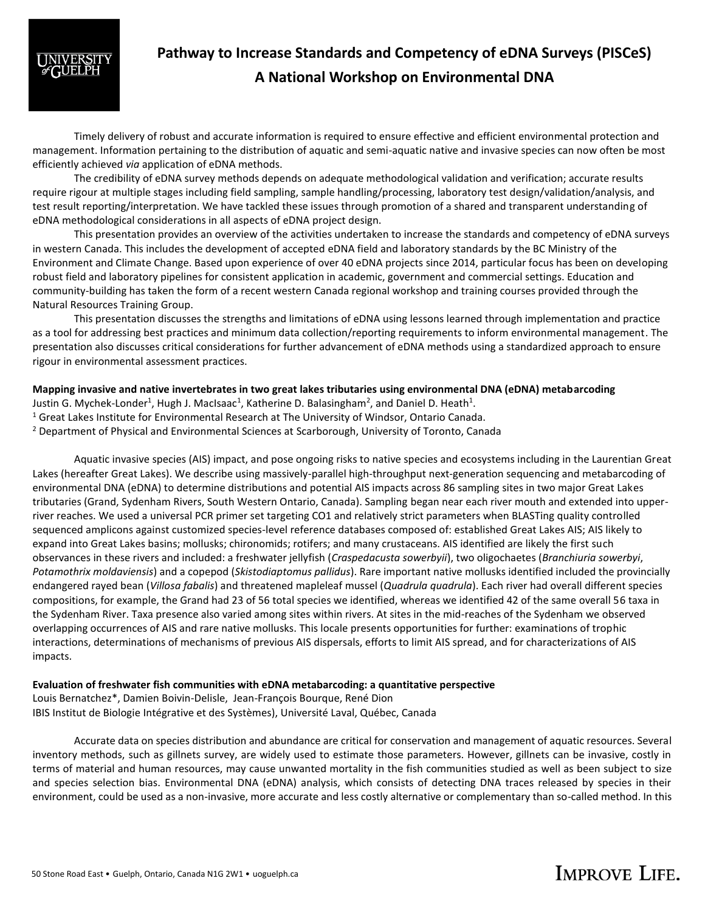

Timely delivery of robust and accurate information is required to ensure effective and efficient environmental protection and management. Information pertaining to the distribution of aquatic and semi-aquatic native and invasive species can now often be most efficiently achieved *via* application of eDNA methods.

The credibility of eDNA survey methods depends on adequate methodological validation and verification; accurate results require rigour at multiple stages including field sampling, sample handling/processing, laboratory test design/validation/analysis, and test result reporting/interpretation. We have tackled these issues through promotion of a shared and transparent understanding of eDNA methodological considerations in all aspects of eDNA project design.

This presentation provides an overview of the activities undertaken to increase the standards and competency of eDNA surveys in western Canada. This includes the development of accepted eDNA field and laboratory standards by the BC Ministry of the Environment and Climate Change. Based upon experience of over 40 eDNA projects since 2014, particular focus has been on developing robust field and laboratory pipelines for consistent application in academic, government and commercial settings. Education and community-building has taken the form of a recent western Canada regional workshop and training courses provided through the Natural Resources Training Group.

This presentation discusses the strengths and limitations of eDNA using lessons learned through implementation and practice as a tool for addressing best practices and minimum data collection/reporting requirements to inform environmental management. The presentation also discusses critical considerations for further advancement of eDNA methods using a standardized approach to ensure rigour in environmental assessment practices.

#### **Mapping invasive and native invertebrates in two great lakes tributaries using environmental DNA (eDNA) metabarcoding**

Justin G. Mychek-Londer<sup>1</sup>, Hugh J. MacIsaac<sup>1</sup>, Katherine D. Balasingham<sup>2</sup>, and Daniel D. Heath<sup>1</sup>.

- <sup>1</sup> Great Lakes Institute for Environmental Research at The University of Windsor, Ontario Canada.
- <sup>2</sup> Department of Physical and Environmental Sciences at Scarborough, University of Toronto, Canada

Aquatic invasive species (AIS) impact, and pose ongoing risks to native species and ecosystems including in the Laurentian Great Lakes (hereafter Great Lakes). We describe using massively-parallel high-throughput next-generation sequencing and metabarcoding of environmental DNA (eDNA) to determine distributions and potential AIS impacts across 86 sampling sites in two major Great Lakes tributaries (Grand, Sydenham Rivers, South Western Ontario, Canada). Sampling began near each river mouth and extended into upperriver reaches. We used a universal PCR primer set targeting CO1 and relatively strict parameters when BLASTing quality controlled sequenced amplicons against customized species-level reference databases composed of: established Great Lakes AIS; AIS likely to expand into Great Lakes basins; mollusks; chironomids; rotifers; and many crustaceans. AIS identified are likely the first such observances in these rivers and included: a freshwater jellyfish (*Craspedacusta sowerbyii*), two oligochaetes (*Branchiuria sowerbyi*, *Potamothrix moldaviensis*) and a copepod (*Skistodiaptomus pallidus*). Rare important native mollusks identified included the provincially endangered rayed bean (*Villosa fabalis*) and threatened mapleleaf mussel (*Quadrula quadrula*). Each river had overall different species compositions, for example, the Grand had 23 of 56 total species we identified, whereas we identified 42 of the same overall 56 taxa in the Sydenham River. Taxa presence also varied among sites within rivers. At sites in the mid-reaches of the Sydenham we observed overlapping occurrences of AIS and rare native mollusks. This locale presents opportunities for further: examinations of trophic interactions, determinations of mechanisms of previous AIS dispersals, efforts to limit AIS spread, and for characterizations of AIS impacts.

### **Evaluation of freshwater fish communities with eDNA metabarcoding: a quantitative perspective**

Louis Bernatchez\*, Damien Boivin-Delisle, Jean-François Bourque, René Dion

IBIS Institut de Biologie Intégrative et des Systèmes), Université Laval, Québec, Canada

Accurate data on species distribution and abundance are critical for conservation and management of aquatic resources. Several inventory methods, such as gillnets survey, are widely used to estimate those parameters. However, gillnets can be invasive, costly in terms of material and human resources, may cause unwanted mortality in the fish communities studied as well as been subject to size and species selection bias. Environmental DNA (eDNA) analysis, which consists of detecting DNA traces released by species in their environment, could be used as a non-invasive, more accurate and less costly alternative or complementary than so-called method. In this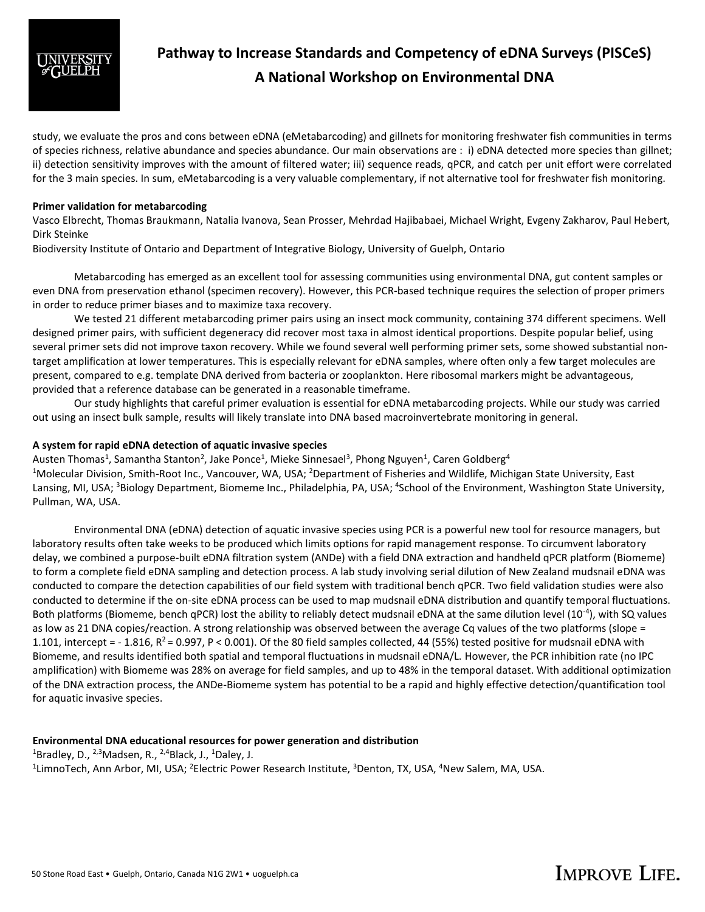

study, we evaluate the pros and cons between eDNA (eMetabarcoding) and gillnets for monitoring freshwater fish communities in terms of species richness, relative abundance and species abundance. Our main observations are : i) eDNA detected more species than gillnet; ii) detection sensitivity improves with the amount of filtered water; iii) sequence reads, qPCR, and catch per unit effort were correlated for the 3 main species. In sum, eMetabarcoding is a very valuable complementary, if not alternative tool for freshwater fish monitoring.

#### **Primer validation for metabarcoding**

Vasco Elbrecht, Thomas Braukmann, Natalia Ivanova, Sean Prosser, Mehrdad Hajibabaei, Michael Wright, Evgeny Zakharov, Paul Hebert, Dirk Steinke

Biodiversity Institute of Ontario and Department of Integrative Biology, University of Guelph, Ontario

Metabarcoding has emerged as an excellent tool for assessing communities using environmental DNA, gut content samples or even DNA from preservation ethanol (specimen recovery). However, this PCR-based technique requires the selection of proper primers in order to reduce primer biases and to maximize taxa recovery.

We tested 21 different metabarcoding primer pairs using an insect mock community, containing 374 different specimens. Well designed primer pairs, with sufficient degeneracy did recover most taxa in almost identical proportions. Despite popular belief, using several primer sets did not improve taxon recovery. While we found several well performing primer sets, some showed substantial nontarget amplification at lower temperatures. This is especially relevant for eDNA samples, where often only a few target molecules are present, compared to e.g. template DNA derived from bacteria or zooplankton. Here ribosomal markers might be advantageous, provided that a reference database can be generated in a reasonable timeframe.

Our study highlights that careful primer evaluation is essential for eDNA metabarcoding projects. While our study was carried out using an insect bulk sample, results will likely translate into DNA based macroinvertebrate monitoring in general.

#### **A system for rapid eDNA detection of aquatic invasive species**

Austen Thomas<sup>1</sup>, Samantha Stanton<sup>2</sup>, Jake Ponce<sup>1</sup>, Mieke Sinnesael<sup>3</sup>, Phong Nguyen<sup>1</sup>, Caren Goldberg<sup>4</sup> <sup>1</sup>Molecular Division, Smith-Root Inc., Vancouver, WA, USA; <sup>2</sup>Department of Fisheries and Wildlife, Michigan State University, East Lansing, MI, USA; <sup>3</sup>Biology Department, Biomeme Inc., Philadelphia, PA, USA; <sup>4</sup>School of the Environment, Washington State University, Pullman, WA, USA.

Environmental DNA (eDNA) detection of aquatic invasive species using PCR is a powerful new tool for resource managers, but laboratory results often take weeks to be produced which limits options for rapid management response. To circumvent laboratory delay, we combined a purpose-built eDNA filtration system (ANDe) with a field DNA extraction and handheld qPCR platform (Biomeme) to form a complete field eDNA sampling and detection process. A lab study involving serial dilution of New Zealand mudsnail eDNA was conducted to compare the detection capabilities of our field system with traditional bench qPCR. Two field validation studies were also conducted to determine if the on-site eDNA process can be used to map mudsnail eDNA distribution and quantify temporal fluctuations. Both platforms (Biomeme, bench qPCR) lost the ability to reliably detect mudsnail eDNA at the same dilution level (10<sup>-4</sup>), with SQ values as low as 21 DNA copies/reaction. A strong relationship was observed between the average Cq values of the two platforms (slope = 1.101, intercept =  $-1.816$ ,  $R^2$  = 0.997, P < 0.001). Of the 80 field samples collected, 44 (55%) tested positive for mudsnail eDNA with Biomeme, and results identified both spatial and temporal fluctuations in mudsnail eDNA/L. However, the PCR inhibition rate (no IPC amplification) with Biomeme was 28% on average for field samples, and up to 48% in the temporal dataset. With additional optimization of the DNA extraction process, the ANDe-Biomeme system has potential to be a rapid and highly effective detection/quantification tool for aquatic invasive species.

**IMPROVE LIFE.** 

#### **Environmental DNA educational resources for power generation and distribution**

<sup>1</sup>Bradley, D., <sup>2,3</sup>Madsen, R., <sup>2,4</sup>Black, J., <sup>1</sup>Daley, J.

<sup>1</sup>LimnoTech, Ann Arbor, MI, USA; <sup>2</sup>Electric Power Research Institute, <sup>3</sup>Denton, TX, USA, <sup>4</sup>New Salem, MA, USA.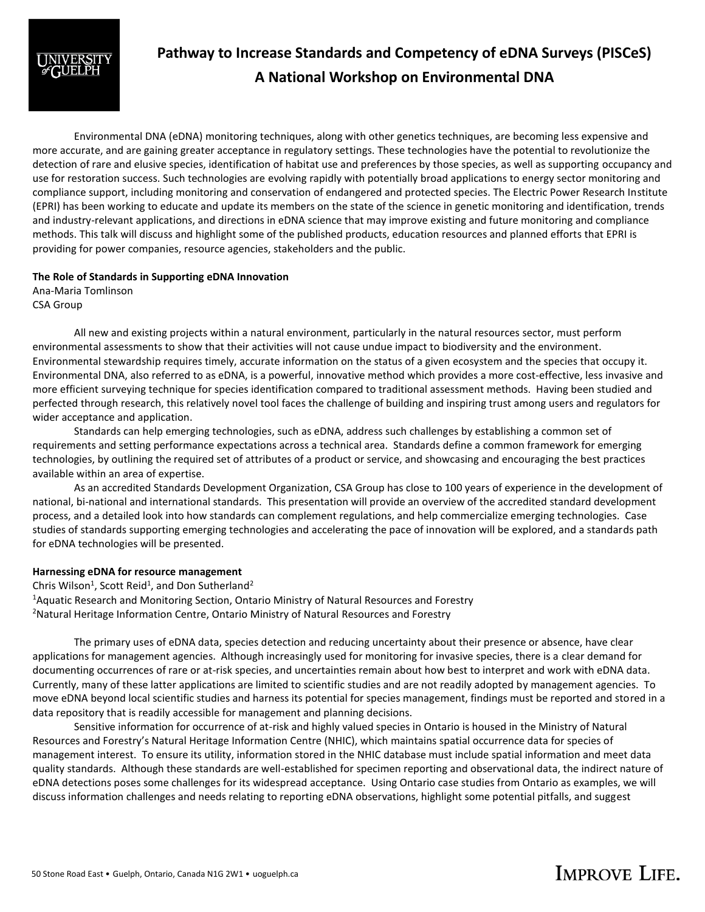

Environmental DNA (eDNA) monitoring techniques, along with other genetics techniques, are becoming less expensive and more accurate, and are gaining greater acceptance in regulatory settings. These technologies have the potential to revolutionize the detection of rare and elusive species, identification of habitat use and preferences by those species, as well as supporting occupancy and use for restoration success. Such technologies are evolving rapidly with potentially broad applications to energy sector monitoring and compliance support, including monitoring and conservation of endangered and protected species. The Electric Power Research Institute (EPRI) has been working to educate and update its members on the state of the science in genetic monitoring and identification, trends and industry-relevant applications, and directions in eDNA science that may improve existing and future monitoring and compliance methods. This talk will discuss and highlight some of the published products, education resources and planned efforts that EPRI is providing for power companies, resource agencies, stakeholders and the public.

#### **The Role of Standards in Supporting eDNA Innovation**

Ana-Maria Tomlinson CSA Group

All new and existing projects within a natural environment, particularly in the natural resources sector, must perform environmental assessments to show that their activities will not cause undue impact to biodiversity and the environment. Environmental stewardship requires timely, accurate information on the status of a given ecosystem and the species that occupy it. Environmental DNA, also referred to as eDNA, is a powerful, innovative method which provides a more cost-effective, less invasive and more efficient surveying technique for species identification compared to traditional assessment methods. Having been studied and perfected through research, this relatively novel tool faces the challenge of building and inspiring trust among users and regulators for wider acceptance and application.

Standards can help emerging technologies, such as eDNA, address such challenges by establishing a common set of requirements and setting performance expectations across a technical area. Standards define a common framework for emerging technologies, by outlining the required set of attributes of a product or service, and showcasing and encouraging the best practices available within an area of expertise.

As an accredited Standards Development Organization, CSA Group has close to 100 years of experience in the development of national, bi-national and international standards. This presentation will provide an overview of the accredited standard development process, and a detailed look into how standards can complement regulations, and help commercialize emerging technologies. Case studies of standards supporting emerging technologies and accelerating the pace of innovation will be explored, and a standards path for eDNA technologies will be presented.

#### **Harnessing eDNA for resource management**

Chris Wilson<sup>1</sup>, Scott Reid<sup>1</sup>, and Don Sutherland<sup>2</sup> <sup>1</sup> Aquatic Research and Monitoring Section, Ontario Ministry of Natural Resources and Forestry <sup>2</sup>Natural Heritage Information Centre, Ontario Ministry of Natural Resources and Forestry

The primary uses of eDNA data, species detection and reducing uncertainty about their presence or absence, have clear applications for management agencies. Although increasingly used for monitoring for invasive species, there is a clear demand for documenting occurrences of rare or at-risk species, and uncertainties remain about how best to interpret and work with eDNA data. Currently, many of these latter applications are limited to scientific studies and are not readily adopted by management agencies. To move eDNA beyond local scientific studies and harness its potential for species management, findings must be reported and stored in a data repository that is readily accessible for management and planning decisions.

Sensitive information for occurrence of at-risk and highly valued species in Ontario is housed in the Ministry of Natural Resources and Forestry's Natural Heritage Information Centre (NHIC), which maintains spatial occurrence data for species of management interest. To ensure its utility, information stored in the NHIC database must include spatial information and meet data quality standards. Although these standards are well-established for specimen reporting and observational data, the indirect nature of eDNA detections poses some challenges for its widespread acceptance. Using Ontario case studies from Ontario as examples, we will discuss information challenges and needs relating to reporting eDNA observations, highlight some potential pitfalls, and suggest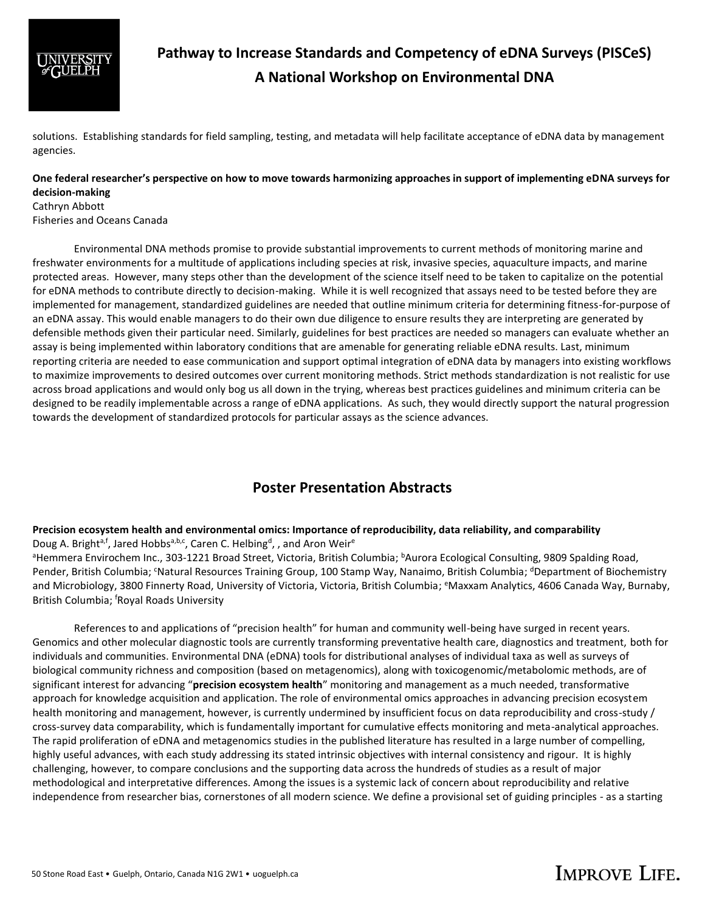

solutions. Establishing standards for field sampling, testing, and metadata will help facilitate acceptance of eDNA data by management agencies.

## **One federal researcher's perspective on how to move towards harmonizing approaches in support of implementing eDNA surveys for decision-making**

#### Cathryn Abbott

Fisheries and Oceans Canada

Environmental DNA methods promise to provide substantial improvements to current methods of monitoring marine and freshwater environments for a multitude of applications including species at risk, invasive species, aquaculture impacts, and marine protected areas. However, many steps other than the development of the science itself need to be taken to capitalize on the potential for eDNA methods to contribute directly to decision-making. While it is well recognized that assays need to be tested before they are implemented for management, standardized guidelines are needed that outline minimum criteria for determining fitness-for-purpose of an eDNA assay. This would enable managers to do their own due diligence to ensure results they are interpreting are generated by defensible methods given their particular need. Similarly, guidelines for best practices are needed so managers can evaluate whether an assay is being implemented within laboratory conditions that are amenable for generating reliable eDNA results. Last, minimum reporting criteria are needed to ease communication and support optimal integration of eDNA data by managers into existing workflows to maximize improvements to desired outcomes over current monitoring methods. Strict methods standardization is not realistic for use across broad applications and would only bog us all down in the trying, whereas best practices guidelines and minimum criteria can be designed to be readily implementable across a range of eDNA applications. As such, they would directly support the natural progression towards the development of standardized protocols for particular assays as the science advances.

# **Poster Presentation Abstracts**

## **Precision ecosystem health and environmental omics: Importance of reproducibility, data reliability, and comparability** Doug A. Bright<sup>a,f</sup>, Jared Hobbs<sup>a,b,c</sup>, Caren C. Helbing<sup>d</sup>, , and Aron Weir<sup>e</sup>

<sup>a</sup>Hemmera Envirochem Inc., 303-1221 Broad Street, Victoria, British Columbia; <sup>b</sup>Aurora Ecological Consulting, 9809 Spalding Road, Pender, British Columbia; <sup>c</sup>Natural Resources Training Group, 100 Stamp Way, Nanaimo, British Columbia; <sup>d</sup>Department of Biochemistry and Microbiology, 3800 Finnerty Road, University of Victoria, Victoria, British Columbia; <sup>e</sup>Maxxam Analytics, 4606 Canada Way, Burnaby, British Columbia; <sup>f</sup>Royal Roads University

References to and applications of "precision health" for human and community well-being have surged in recent years. Genomics and other molecular diagnostic tools are currently transforming preventative health care, diagnostics and treatment, both for individuals and communities. Environmental DNA (eDNA) tools for distributional analyses of individual taxa as well as surveys of biological community richness and composition (based on metagenomics), along with toxicogenomic/metabolomic methods, are of significant interest for advancing "**precision ecosystem health**" monitoring and management as a much needed, transformative approach for knowledge acquisition and application. The role of environmental omics approaches in advancing precision ecosystem health monitoring and management, however, is currently undermined by insufficient focus on data reproducibility and cross-study / cross-survey data comparability, which is fundamentally important for cumulative effects monitoring and meta-analytical approaches. The rapid proliferation of eDNA and metagenomics studies in the published literature has resulted in a large number of compelling, highly useful advances, with each study addressing its stated intrinsic objectives with internal consistency and rigour. It is highly challenging, however, to compare conclusions and the supporting data across the hundreds of studies as a result of major methodological and interpretative differences. Among the issues is a systemic lack of concern about reproducibility and relative independence from researcher bias, cornerstones of all modern science. We define a provisional set of guiding principles - as a starting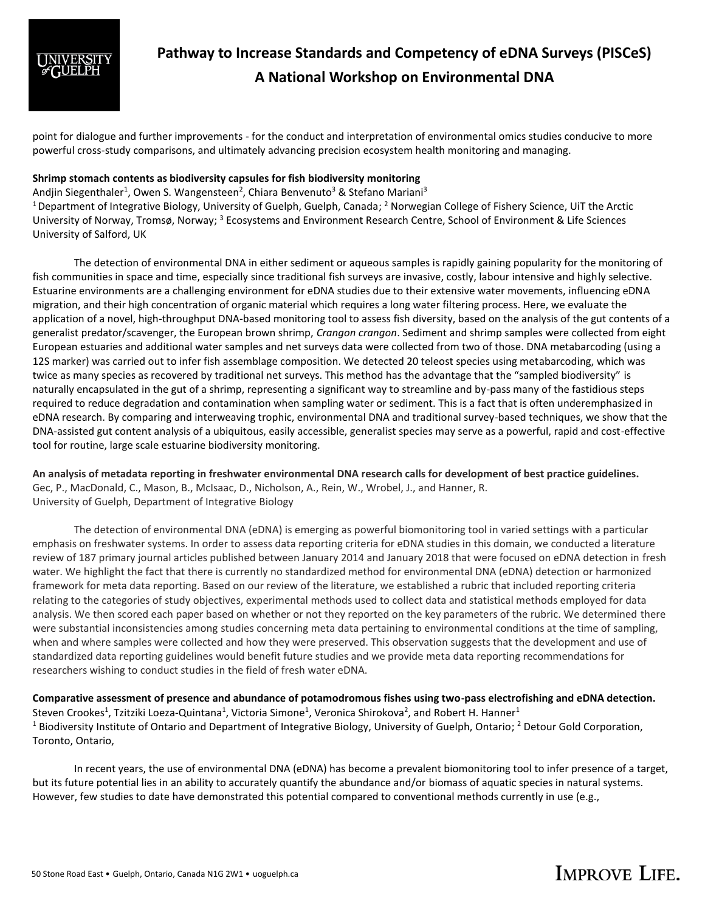

point for dialogue and further improvements - for the conduct and interpretation of environmental omics studies conducive to more powerful cross-study comparisons, and ultimately advancing precision ecosystem health monitoring and managing.

#### **Shrimp stomach contents as biodiversity capsules for fish biodiversity monitoring**

Andjin Siegenthaler<sup>1</sup>, Owen S. Wangensteen<sup>2</sup>, Chiara Benvenuto<sup>3</sup> & Stefano Mariani<sup>3</sup>

<sup>1</sup> Department of Integrative Biology, University of Guelph, Guelph, Canada; <sup>2</sup> Norwegian College of Fishery Science, UiT the Arctic University of Norway, Tromsø, Norway; <sup>3</sup> Ecosystems and Environment Research Centre, School of Environment & Life Sciences University of Salford, UK

The detection of environmental DNA in either sediment or aqueous samples is rapidly gaining popularity for the monitoring of fish communities in space and time, especially since traditional fish surveys are invasive, costly, labour intensive and highly selective. Estuarine environments are a challenging environment for eDNA studies due to their extensive water movements, influencing eDNA migration, and their high concentration of organic material which requires a long water filtering process. Here, we evaluate the application of a novel, high-throughput DNA-based monitoring tool to assess fish diversity, based on the analysis of the gut contents of a generalist predator/scavenger, the European brown shrimp, *Crangon crangon*. Sediment and shrimp samples were collected from eight European estuaries and additional water samples and net surveys data were collected from two of those. DNA metabarcoding (using a 12S marker) was carried out to infer fish assemblage composition. We detected 20 teleost species using metabarcoding, which was twice as many species as recovered by traditional net surveys. This method has the advantage that the "sampled biodiversity" is naturally encapsulated in the gut of a shrimp, representing a significant way to streamline and by-pass many of the fastidious steps required to reduce degradation and contamination when sampling water or sediment. This is a fact that is often underemphasized in eDNA research. By comparing and interweaving trophic, environmental DNA and traditional survey-based techniques, we show that the DNA-assisted gut content analysis of a ubiquitous, easily accessible, generalist species may serve as a powerful, rapid and cost-effective tool for routine, large scale estuarine biodiversity monitoring.

**An analysis of metadata reporting in freshwater environmental DNA research calls for development of best practice guidelines.** Gec, P., MacDonald, C., Mason, B., McIsaac, D., Nicholson, A., Rein, W., Wrobel, J., and Hanner, R. University of Guelph, Department of Integrative Biology

The detection of environmental DNA (eDNA) is emerging as powerful biomonitoring tool in varied settings with a particular emphasis on freshwater systems. In order to assess data reporting criteria for eDNA studies in this domain, we conducted a literature review of 187 primary journal articles published between January 2014 and January 2018 that were focused on eDNA detection in fresh water. We highlight the fact that there is currently no standardized method for environmental DNA (eDNA) detection or harmonized framework for meta data reporting. Based on our review of the literature, we established a rubric that included reporting criteria relating to the categories of study objectives, experimental methods used to collect data and statistical methods employed for data analysis. We then scored each paper based on whether or not they reported on the key parameters of the rubric. We determined there were substantial inconsistencies among studies concerning meta data pertaining to environmental conditions at the time of sampling, when and where samples were collected and how they were preserved. This observation suggests that the development and use of standardized data reporting guidelines would benefit future studies and we provide meta data reporting recommendations for researchers wishing to conduct studies in the field of fresh water eDNA.

**Comparative assessment of presence and abundance of potamodromous fishes using two-pass electrofishing and eDNA detection.** Steven Crookes<sup>1</sup>, Tzitziki Loeza-Quintana<sup>1</sup>, Victoria Simone<sup>1</sup>, Veronica Shirokova<sup>2</sup>, and Robert H. Hanner<sup>1</sup> <sup>1</sup> Biodiversity Institute of Ontario and Department of Integrative Biology, University of Guelph, Ontario; <sup>2</sup> Detour Gold Corporation, Toronto, Ontario,

In recent years, the use of environmental DNA (eDNA) has become a prevalent biomonitoring tool to infer presence of a target, but its future potential lies in an ability to accurately quantify the abundance and/or biomass of aquatic species in natural systems. However, few studies to date have demonstrated this potential compared to conventional methods currently in use (e.g.,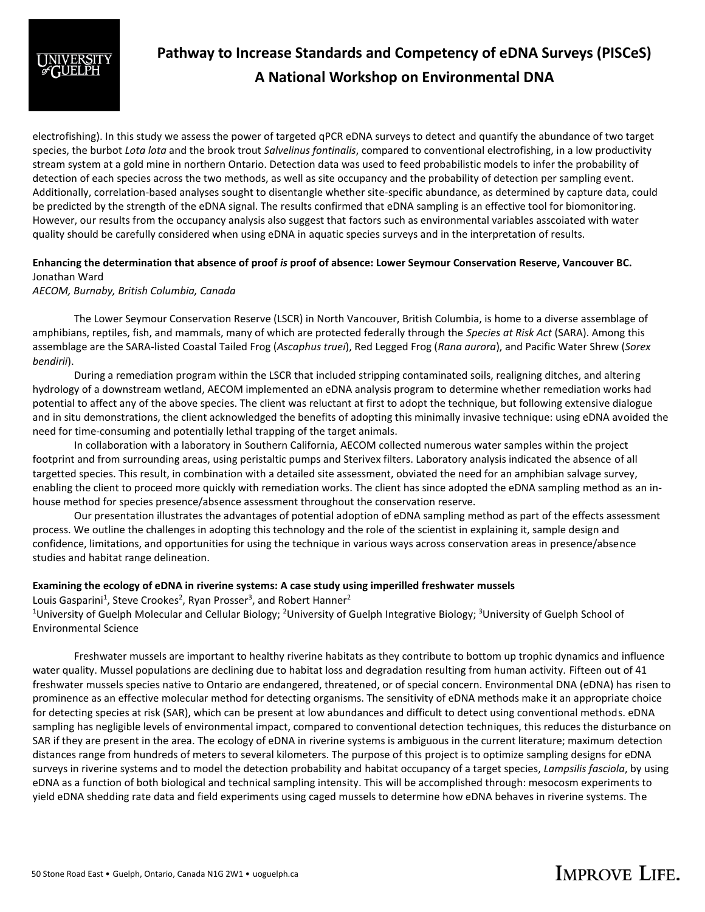

electrofishing). In this study we assess the power of targeted qPCR eDNA surveys to detect and quantify the abundance of two target species, the burbot *Lota lota* and the brook trout *Salvelinus fontinalis*, compared to conventional electrofishing, in a low productivity stream system at a gold mine in northern Ontario. Detection data was used to feed probabilistic models to infer the probability of detection of each species across the two methods, as well as site occupancy and the probability of detection per sampling event. Additionally, correlation-based analyses sought to disentangle whether site-specific abundance, as determined by capture data, could be predicted by the strength of the eDNA signal. The results confirmed that eDNA sampling is an effective tool for biomonitoring. However, our results from the occupancy analysis also suggest that factors such as environmental variables asscoiated with water quality should be carefully considered when using eDNA in aquatic species surveys and in the interpretation of results.

# **Enhancing the determination that absence of proof** *is* **proof of absence: Lower Seymour Conservation Reserve, Vancouver BC.** Jonathan Ward

*AECOM, Burnaby, British Columbia, Canada*

The Lower Seymour Conservation Reserve (LSCR) in North Vancouver, British Columbia, is home to a diverse assemblage of amphibians, reptiles, fish, and mammals, many of which are protected federally through the *Species at Risk Act* (SARA). Among this assemblage are the SARA-listed Coastal Tailed Frog (*Ascaphus truei*), Red Legged Frog (*Rana aurora*), and Pacific Water Shrew (*Sorex bendirii*).

During a remediation program within the LSCR that included stripping contaminated soils, realigning ditches, and altering hydrology of a downstream wetland, AECOM implemented an eDNA analysis program to determine whether remediation works had potential to affect any of the above species. The client was reluctant at first to adopt the technique, but following extensive dialogue and in situ demonstrations, the client acknowledged the benefits of adopting this minimally invasive technique: using eDNA avoided the need for time-consuming and potentially lethal trapping of the target animals.

In collaboration with a laboratory in Southern California, AECOM collected numerous water samples within the project footprint and from surrounding areas, using peristaltic pumps and Sterivex filters. Laboratory analysis indicated the absence of all targetted species. This result, in combination with a detailed site assessment, obviated the need for an amphibian salvage survey, enabling the client to proceed more quickly with remediation works. The client has since adopted the eDNA sampling method as an inhouse method for species presence/absence assessment throughout the conservation reserve.

Our presentation illustrates the advantages of potential adoption of eDNA sampling method as part of the effects assessment process. We outline the challenges in adopting this technology and the role of the scientist in explaining it, sample design and confidence, limitations, and opportunities for using the technique in various ways across conservation areas in presence/absence studies and habitat range delineation.

### **Examining the ecology of eDNA in riverine systems: A case study using imperilled freshwater mussels**

Louis Gasparini<sup>1</sup>, Steve Crookes<sup>2</sup>, Ryan Prosser<sup>3</sup>, and Robert Hanner<sup>2</sup> <sup>1</sup>University of Guelph Molecular and Cellular Biology; <sup>2</sup>University of Guelph Integrative Biology; <sup>3</sup>University of Guelph School of Environmental Science

Freshwater mussels are important to healthy riverine habitats as they contribute to bottom up trophic dynamics and influence water quality. Mussel populations are declining due to habitat loss and degradation resulting from human activity. Fifteen out of 41 freshwater mussels species native to Ontario are endangered, threatened, or of special concern. Environmental DNA (eDNA) has risen to prominence as an effective molecular method for detecting organisms. The sensitivity of eDNA methods make it an appropriate choice for detecting species at risk (SAR), which can be present at low abundances and difficult to detect using conventional methods. eDNA sampling has negligible levels of environmental impact, compared to conventional detection techniques, this reduces the disturbance on SAR if they are present in the area. The ecology of eDNA in riverine systems is ambiguous in the current literature; maximum detection distances range from hundreds of meters to several kilometers. The purpose of this project is to optimize sampling designs for eDNA surveys in riverine systems and to model the detection probability and habitat occupancy of a target species, *Lampsilis fasciola*, by using eDNA as a function of both biological and technical sampling intensity. This will be accomplished through: mesocosm experiments to yield eDNA shedding rate data and field experiments using caged mussels to determine how eDNA behaves in riverine systems. The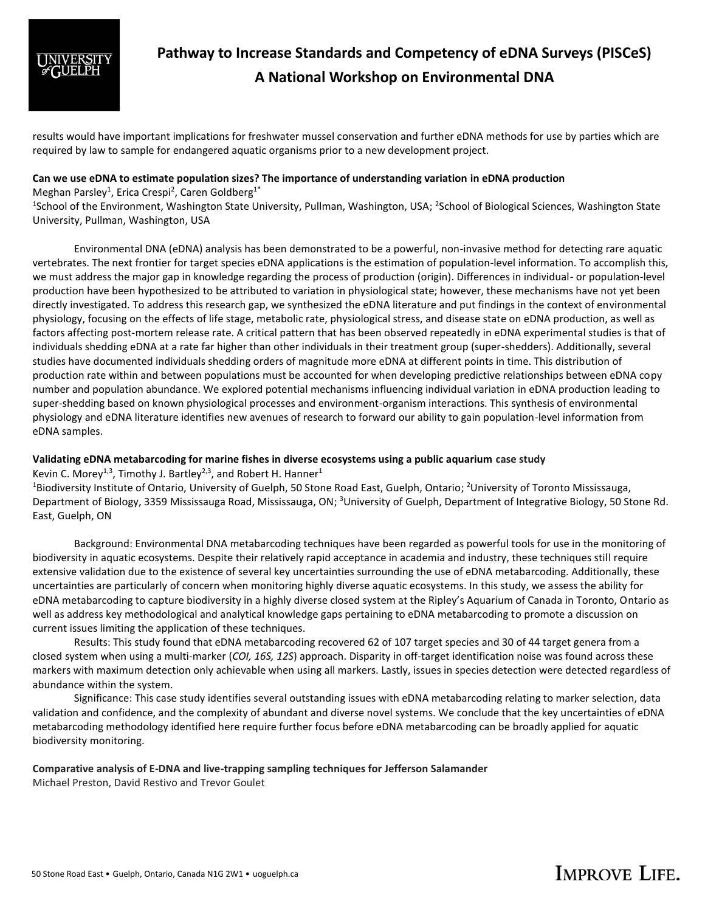

results would have important implications for freshwater mussel conservation and further eDNA methods for use by parties which are required by law to sample for endangered aquatic organisms prior to a new development project.

#### **Can we use eDNA to estimate population sizes? The importance of understanding variation in eDNA production**

Meghan Parsley<sup>1</sup>, Erica Crespi<sup>2</sup>, Caren Goldberg<sup>1\*</sup>

<sup>1</sup>School of the Environment, Washington State University, Pullman, Washington, USA; <sup>2</sup>School of Biological Sciences, Washington State University, Pullman, Washington, USA

Environmental DNA (eDNA) analysis has been demonstrated to be a powerful, non-invasive method for detecting rare aquatic vertebrates. The next frontier for target species eDNA applications is the estimation of population-level information. To accomplish this, we must address the major gap in knowledge regarding the process of production (origin). Differences in individual- or population-level production have been hypothesized to be attributed to variation in physiological state; however, these mechanisms have not yet been directly investigated. To address this research gap, we synthesized the eDNA literature and put findings in the context of environmental physiology, focusing on the effects of life stage, metabolic rate, physiological stress, and disease state on eDNA production, as well as factors affecting post-mortem release rate. A critical pattern that has been observed repeatedly in eDNA experimental studies is that of individuals shedding eDNA at a rate far higher than other individuals in their treatment group (super-shedders). Additionally, several studies have documented individuals shedding orders of magnitude more eDNA at different points in time. This distribution of production rate within and between populations must be accounted for when developing predictive relationships between eDNA copy number and population abundance. We explored potential mechanisms influencing individual variation in eDNA production leading to super-shedding based on known physiological processes and environment-organism interactions. This synthesis of environmental physiology and eDNA literature identifies new avenues of research to forward our ability to gain population-level information from eDNA samples.

### **Validating eDNA metabarcoding for marine fishes in diverse ecosystems using a public aquarium case study**

Kevin C. Morey<sup>1,3</sup>, Timothy J. Bartley<sup>2,3</sup>, and Robert H. Hanner<sup>1</sup> <sup>1</sup>Biodiversity Institute of Ontario, University of Guelph, 50 Stone Road East, Guelph, Ontario; <sup>2</sup>University of Toronto Mississauga, Department of Biology, 3359 Mississauga Road, Mississauga, ON; <sup>3</sup>University of Guelph, Department of Integrative Biology, 50 Stone Rd. East, Guelph, ON

Background: Environmental DNA metabarcoding techniques have been regarded as powerful tools for use in the monitoring of biodiversity in aquatic ecosystems. Despite their relatively rapid acceptance in academia and industry, these techniques still require extensive validation due to the existence of several key uncertainties surrounding the use of eDNA metabarcoding. Additionally, these uncertainties are particularly of concern when monitoring highly diverse aquatic ecosystems. In this study, we assess the ability for eDNA metabarcoding to capture biodiversity in a highly diverse closed system at the Ripley's Aquarium of Canada in Toronto, Ontario as well as address key methodological and analytical knowledge gaps pertaining to eDNA metabarcoding to promote a discussion on current issues limiting the application of these techniques.

Results: This study found that eDNA metabarcoding recovered 62 of 107 target species and 30 of 44 target genera from a closed system when using a multi-marker (*COI, 16S, 12S*) approach. Disparity in off-target identification noise was found across these markers with maximum detection only achievable when using all markers. Lastly, issues in species detection were detected regardless of abundance within the system.

Significance: This case study identifies several outstanding issues with eDNA metabarcoding relating to marker selection, data validation and confidence, and the complexity of abundant and diverse novel systems. We conclude that the key uncertainties of eDNA metabarcoding methodology identified here require further focus before eDNA metabarcoding can be broadly applied for aquatic biodiversity monitoring.

# **Comparative analysis of E-DNA and live-trapping sampling techniques for Jefferson Salamander**

Michael Preston, David Restivo and Trevor Goulet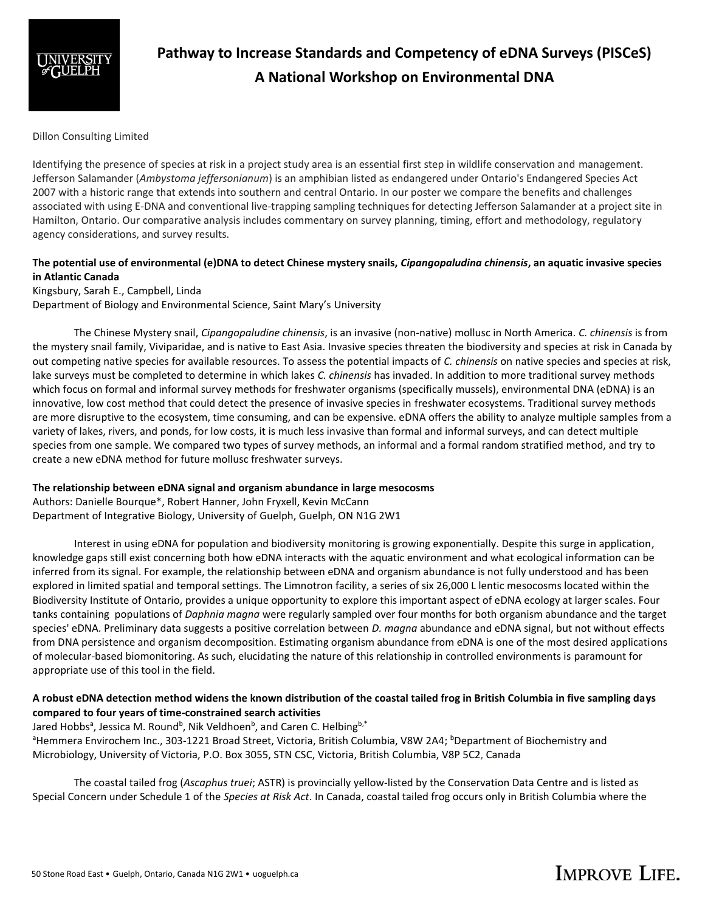

Dillon Consulting Limited

Identifying the presence of species at risk in a project study area is an essential first step in wildlife conservation and management. Jefferson Salamander (*Ambystoma jeffersonianum*) is an amphibian listed as endangered under Ontario's Endangered Species Act 2007 with a historic range that extends into southern and central Ontario. In our poster we compare the benefits and challenges associated with using E-DNA and conventional live-trapping sampling techniques for detecting Jefferson Salamander at a project site in Hamilton, Ontario. Our comparative analysis includes commentary on survey planning, timing, effort and methodology, regulatory agency considerations, and survey results.

## **The potential use of environmental (e)DNA to detect Chinese mystery snails,** *Cipangopaludina chinensis***, an aquatic invasive species in Atlantic Canada**

Kingsbury, Sarah E., Campbell, Linda Department of Biology and Environmental Science, Saint Mary's University

The Chinese Mystery snail, *Cipangopaludine chinensis*, is an invasive (non-native) mollusc in North America. *C. chinensis* is from the mystery snail family, Viviparidae, and is native to East Asia. Invasive species threaten the biodiversity and species at risk in Canada by out competing native species for available resources. To assess the potential impacts of *C. chinensis* on native species and species at risk, lake surveys must be completed to determine in which lakes *C. chinensis* has invaded. In addition to more traditional survey methods which focus on formal and informal survey methods for freshwater organisms (specifically mussels), environmental DNA (eDNA) is an innovative, low cost method that could detect the presence of invasive species in freshwater ecosystems. Traditional survey methods are more disruptive to the ecosystem, time consuming, and can be expensive. eDNA offers the ability to analyze multiple samples from a variety of lakes, rivers, and ponds, for low costs, it is much less invasive than formal and informal surveys, and can detect multiple species from one sample. We compared two types of survey methods, an informal and a formal random stratified method, and try to create a new eDNA method for future mollusc freshwater surveys.

### **The relationship between eDNA signal and organism abundance in large mesocosms**

Authors: Danielle Bourque\*, Robert Hanner, John Fryxell, Kevin McCann Department of Integrative Biology, University of Guelph, Guelph, ON N1G 2W1

Interest in using eDNA for population and biodiversity monitoring is growing exponentially. Despite this surge in application, knowledge gaps still exist concerning both how eDNA interacts with the aquatic environment and what ecological information can be inferred from its signal. For example, the relationship between eDNA and organism abundance is not fully understood and has been explored in limited spatial and temporal settings. The Limnotron facility, a series of six 26,000 L lentic mesocosms located within the Biodiversity Institute of Ontario, provides a unique opportunity to explore this important aspect of eDNA ecology at larger scales. Four tanks containing populations of *Daphnia magna* were regularly sampled over four months for both organism abundance and the target species' eDNA. Preliminary data suggests a positive correlation between *D. magna* abundance and eDNA signal, but not without effects from DNA persistence and organism decomposition. Estimating organism abundance from eDNA is one of the most desired applications of molecular-based biomonitoring. As such, elucidating the nature of this relationship in controlled environments is paramount for appropriate use of this tool in the field.

## **A robust eDNA detection method widens the known distribution of the coastal tailed frog in British Columbia in five sampling days compared to four years of time-constrained search activities**

Jared Hobbsª, Jessica M. Roundʰ, Nik Veldhoenʰ, and Caren C. Helbingʰ,\*

<sup>a</sup>Hemmera Envirochem Inc., 303-1221 Broad Street, Victoria, British Columbia, V8W 2A4; <sup>b</sup>Department of Biochemistry and Microbiology, University of Victoria, P.O. Box 3055, STN CSC, Victoria, British Columbia, V8P 5C2, Canada

The coastal tailed frog (*Ascaphus truei*; ASTR) is provincially yellow-listed by the Conservation Data Centre and is listed as Special Concern under Schedule 1 of the *Species at Risk Act*. In Canada, coastal tailed frog occurs only in British Columbia where the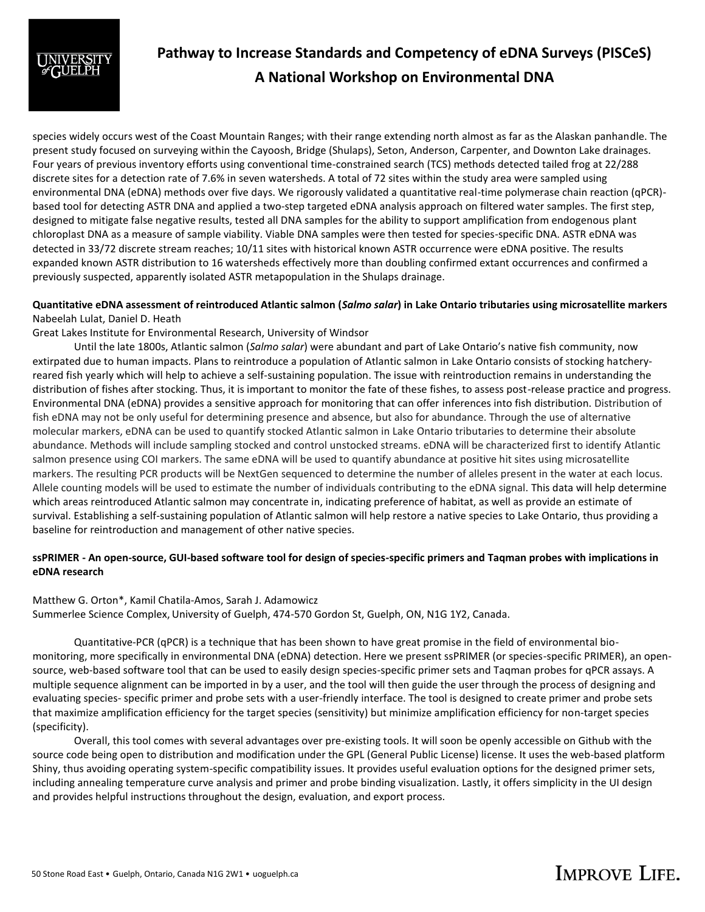

species widely occurs west of the Coast Mountain Ranges; with their range extending north almost as far as the Alaskan panhandle. The present study focused on surveying within the Cayoosh, Bridge (Shulaps), Seton, Anderson, Carpenter, and Downton Lake drainages. Four years of previous inventory efforts using conventional time-constrained search (TCS) methods detected tailed frog at 22/288 discrete sites for a detection rate of 7.6% in seven watersheds. A total of 72 sites within the study area were sampled using environmental DNA (eDNA) methods over five days. We rigorously validated a quantitative real-time polymerase chain reaction (qPCR) based tool for detecting ASTR DNA and applied a two-step targeted eDNA analysis approach on filtered water samples. The first step, designed to mitigate false negative results, tested all DNA samples for the ability to support amplification from endogenous plant chloroplast DNA as a measure of sample viability. Viable DNA samples were then tested for species-specific DNA. ASTR eDNA was detected in 33/72 discrete stream reaches; 10/11 sites with historical known ASTR occurrence were eDNA positive. The results expanded known ASTR distribution to 16 watersheds effectively more than doubling confirmed extant occurrences and confirmed a previously suspected, apparently isolated ASTR metapopulation in the Shulaps drainage.

# **Quantitative eDNA assessment of reintroduced Atlantic salmon (***Salmo salar***) in Lake Ontario tributaries using microsatellite markers** Nabeelah Lulat, Daniel D. Heath

Great Lakes Institute for Environmental Research, University of Windsor

Until the late 1800s, Atlantic salmon (*Salmo salar*) were abundant and part of Lake Ontario's native fish community, now extirpated due to human impacts. Plans to reintroduce a population of Atlantic salmon in Lake Ontario consists of stocking hatcheryreared fish yearly which will help to achieve a self-sustaining population. The issue with reintroduction remains in understanding the distribution of fishes after stocking. Thus, it is important to monitor the fate of these fishes, to assess post-release practice and progress. Environmental DNA (eDNA) provides a sensitive approach for monitoring that can offer inferences into fish distribution. Distribution of fish eDNA may not be only useful for determining presence and absence, but also for abundance. Through the use of alternative molecular markers, eDNA can be used to quantify stocked Atlantic salmon in Lake Ontario tributaries to determine their absolute abundance. Methods will include sampling stocked and control unstocked streams. eDNA will be characterized first to identify Atlantic salmon presence using COI markers. The same eDNA will be used to quantify abundance at positive hit sites using microsatellite markers. The resulting PCR products will be NextGen sequenced to determine the number of alleles present in the water at each locus. Allele counting models will be used to estimate the number of individuals contributing to the eDNA signal. This data will help determine which areas reintroduced Atlantic salmon may concentrate in, indicating preference of habitat, as well as provide an estimate of survival. Establishing a self-sustaining population of Atlantic salmon will help restore a native species to Lake Ontario, thus providing a baseline for reintroduction and management of other native species.

# **ssPRIMER - An open-source, GUI-based software tool for design of species-specific primers and Taqman probes with implications in eDNA research**

### Matthew G. Orton\*, Kamil Chatila-Amos, Sarah J. Adamowicz

Summerlee Science Complex, University of Guelph, 474-570 Gordon St, Guelph, ON, N1G 1Y2, Canada.

Quantitative-PCR (qPCR) is a technique that has been shown to have great promise in the field of environmental biomonitoring, more specifically in environmental DNA (eDNA) detection. Here we present ssPRIMER (or species-specific PRIMER), an opensource, web-based software tool that can be used to easily design species-specific primer sets and Taqman probes for qPCR assays. A multiple sequence alignment can be imported in by a user, and the tool will then guide the user through the process of designing and evaluating species- specific primer and probe sets with a user-friendly interface. The tool is designed to create primer and probe sets that maximize amplification efficiency for the target species (sensitivity) but minimize amplification efficiency for non-target species (specificity).

Overall, this tool comes with several advantages over pre-existing tools. It will soon be openly accessible on Github with the source code being open to distribution and modification under the GPL (General Public License) license. It uses the web-based platform Shiny, thus avoiding operating system-specific compatibility issues. It provides useful evaluation options for the designed primer sets, including annealing temperature curve analysis and primer and probe binding visualization. Lastly, it offers simplicity in the UI design and provides helpful instructions throughout the design, evaluation, and export process.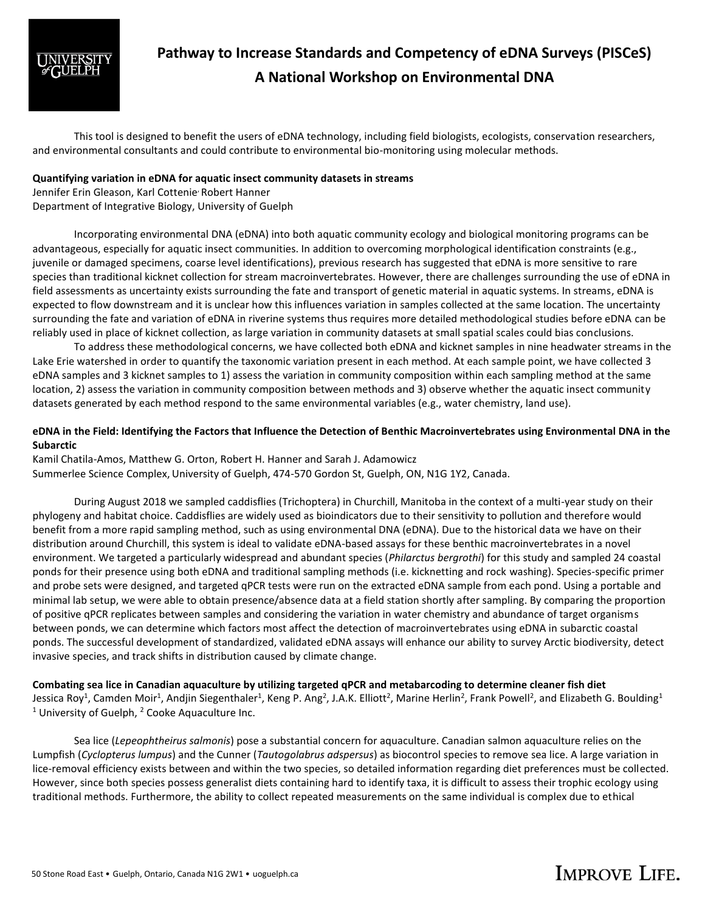

This tool is designed to benefit the users of eDNA technology, including field biologists, ecologists, conservation researchers, and environmental consultants and could contribute to environmental bio-monitoring using molecular methods.

#### **Quantifying variation in eDNA for aquatic insect community datasets in streams**

Jennifer Erin Gleason, Karl Cottenie, Robert Hanner Department of Integrative Biology, University of Guelph

Incorporating environmental DNA (eDNA) into both aquatic community ecology and biological monitoring programs can be advantageous, especially for aquatic insect communities. In addition to overcoming morphological identification constraints (e.g., juvenile or damaged specimens, coarse level identifications), previous research has suggested that eDNA is more sensitive to rare species than traditional kicknet collection for stream macroinvertebrates. However, there are challenges surrounding the use of eDNA in field assessments as uncertainty exists surrounding the fate and transport of genetic material in aquatic systems. In streams, eDNA is expected to flow downstream and it is unclear how this influences variation in samples collected at the same location. The uncertainty surrounding the fate and variation of eDNA in riverine systems thus requires more detailed methodological studies before eDNA can be reliably used in place of kicknet collection, as large variation in community datasets at small spatial scales could bias conclusions.

To address these methodological concerns, we have collected both eDNA and kicknet samples in nine headwater streams in the Lake Erie watershed in order to quantify the taxonomic variation present in each method. At each sample point, we have collected 3 eDNA samples and 3 kicknet samples to 1) assess the variation in community composition within each sampling method at the same location, 2) assess the variation in community composition between methods and 3) observe whether the aquatic insect community datasets generated by each method respond to the same environmental variables (e.g., water chemistry, land use).

### **eDNA in the Field: Identifying the Factors that Influence the Detection of Benthic Macroinvertebrates using Environmental DNA in the Subarctic**

Kamil Chatila-Amos, Matthew G. Orton, Robert H. Hanner and Sarah J. Adamowicz Summerlee Science Complex, University of Guelph, 474-570 Gordon St, Guelph, ON, N1G 1Y2, Canada.

During August 2018 we sampled caddisflies (Trichoptera) in Churchill, Manitoba in the context of a multi-year study on their phylogeny and habitat choice. Caddisflies are widely used as bioindicators due to their sensitivity to pollution and therefore would benefit from a more rapid sampling method, such as using environmental DNA (eDNA). Due to the historical data we have on their distribution around Churchill, this system is ideal to validate eDNA-based assays for these benthic macroinvertebrates in a novel environment. We targeted a particularly widespread and abundant species (*Philarctus bergrothi*) for this study and sampled 24 coastal ponds for their presence using both eDNA and traditional sampling methods (i.e. kicknetting and rock washing). Species-specific primer and probe sets were designed, and targeted qPCR tests were run on the extracted eDNA sample from each pond. Using a portable and minimal lab setup, we were able to obtain presence/absence data at a field station shortly after sampling. By comparing the proportion of positive qPCR replicates between samples and considering the variation in water chemistry and abundance of target organisms between ponds, we can determine which factors most affect the detection of macroinvertebrates using eDNA in subarctic coastal ponds. The successful development of standardized, validated eDNA assays will enhance our ability to survey Arctic biodiversity, detect invasive species, and track shifts in distribution caused by climate change.

**Combating sea lice in Canadian aquaculture by utilizing targeted qPCR and metabarcoding to determine cleaner fish diet** Jessica Roy<sup>1</sup>, Camden Moir<sup>1</sup>, Andjin Siegenthaler<sup>1</sup>, Keng P. Ang<sup>2</sup>, J.A.K. Elliott<sup>2</sup>, Marine Herlin<sup>2</sup>, Frank Powell<sup>2</sup>, and Elizabeth G. Boulding<sup>1</sup>  $1$  University of Guelph,  $2$  Cooke Aquaculture Inc.

Sea lice (*Lepeophtheirus salmonis*) pose a substantial concern for aquaculture. Canadian salmon aquaculture relies on the Lumpfish (*Cyclopterus lumpus*) and the Cunner (*Tautogolabrus adspersus*) as biocontrol species to remove sea lice. A large variation in lice-removal efficiency exists between and within the two species, so detailed information regarding diet preferences must be collected. However, since both species possess generalist diets containing hard to identify taxa, it is difficult to assess their trophic ecology using traditional methods. Furthermore, the ability to collect repeated measurements on the same individual is complex due to ethical